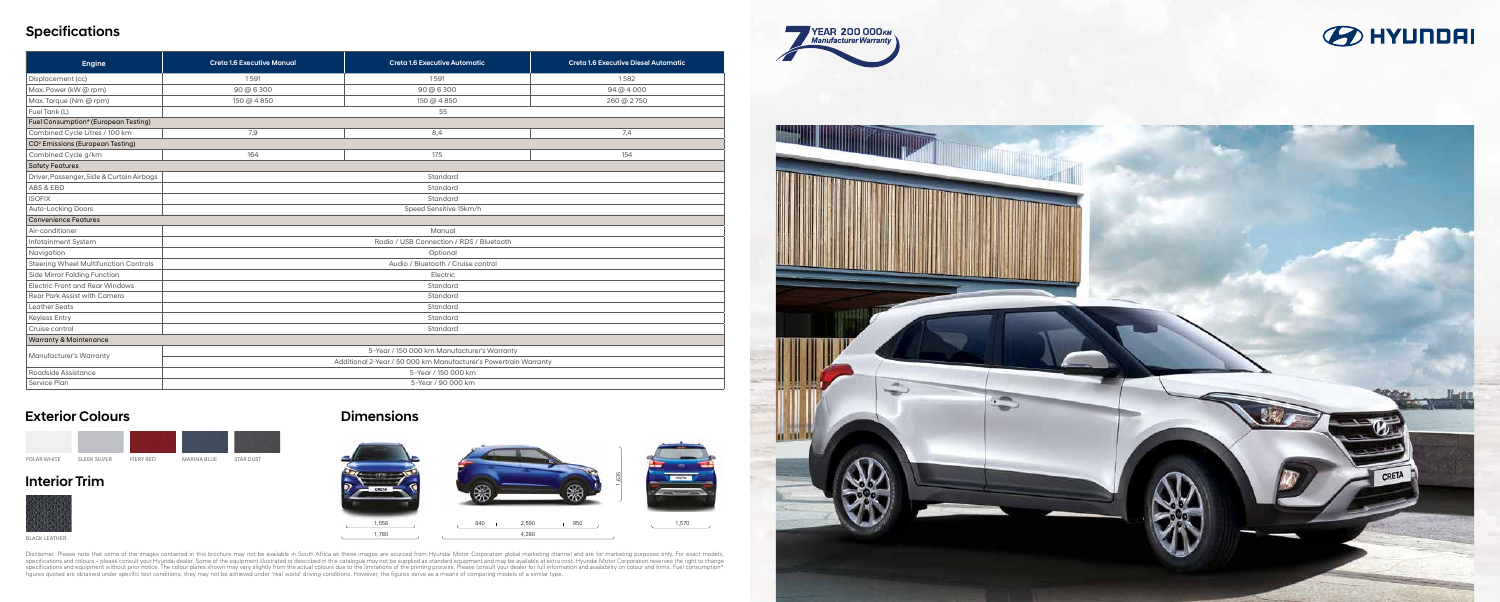# **Specifications**

| Engine                                       | <b>Creta 1.6 Executive Manual</b>                                | Creta 1.6 Executive Automatic | Creta 1.6 Executive Diesel Automatic |
|----------------------------------------------|------------------------------------------------------------------|-------------------------------|--------------------------------------|
| Displacement (cc)                            | 1591                                                             | 1591                          | 1582                                 |
| Max. Power (kW @ rpm)                        | 90 @ 6 300                                                       | 90 @ 6 300                    | 94 @ 4 000                           |
| Max. Torque (Nm @ rpm)                       | 150 @ 4 850                                                      | 150 @ 4 850                   | 260 @ 2750                           |
| Fuel Tank (L)                                | 55                                                               |                               |                                      |
| Fuel Consumption* (European Testing)         |                                                                  |                               |                                      |
| Combined Cycle Litres / 100 km               | 7,9                                                              | 8,4                           | 7,4                                  |
| CO <sup>2</sup> Emissions (European Testing) |                                                                  |                               |                                      |
| Combined Cycle g/km                          | 164                                                              | 175                           | 154                                  |
| <b>Safety Features</b>                       |                                                                  |                               |                                      |
| Driver, Passenger, Side & Curtain Airbags    | Standard                                                         |                               |                                      |
| ABS & EBD                                    | Standard                                                         |                               |                                      |
| <b>ISOFIX</b>                                | Standard                                                         |                               |                                      |
| <b>Auto-Locking Doors</b>                    | Speed Sensitive 15km/h                                           |                               |                                      |
| <b>Convenience Features</b>                  |                                                                  |                               |                                      |
| Air-conditioner                              | Manual                                                           |                               |                                      |
| Infotainment System                          | Radio / USB Connection / RDS / Bluetooth                         |                               |                                      |
| Navigation                                   | Optional                                                         |                               |                                      |
| Steering Wheel Multifunction Controls        | Audio / Bluetooth / Cruise control                               |                               |                                      |
| Side Mirror Folding Function                 | Electric                                                         |                               |                                      |
| Electric Front and Rear Windows              | Standard                                                         |                               |                                      |
| Rear Park Assist with Camera                 | Standard                                                         |                               |                                      |
| <b>Leather Seats</b>                         | Standard                                                         |                               |                                      |
| <b>Keyless Entry</b>                         | Standard                                                         |                               |                                      |
| Cruise control                               | Standard                                                         |                               |                                      |
| <b>Warranty &amp; Maintenance</b>            |                                                                  |                               |                                      |
| Manufacturer's Warranty                      | 5-Year / 150 000 km Manufacturer's Warranty                      |                               |                                      |
|                                              | Additional 2-Year / 50 000 km Manufacturer's Powertrain Warranty |                               |                                      |
| Roadside Assistance                          | 5-Year / 150 000 km                                              |                               |                                      |
| Service Plan                                 | 5-Year / 90 000 km                                               |                               |                                      |



Disclaimer: Please note that some of the images contained in this brochure may not be available in South Africa as these images are sourced from Hyundai Motor Corporation global marketing channel and are for marketing purp









BLACK LEATHER

### Exterior Colours

### Interior Trim



# Dimensions